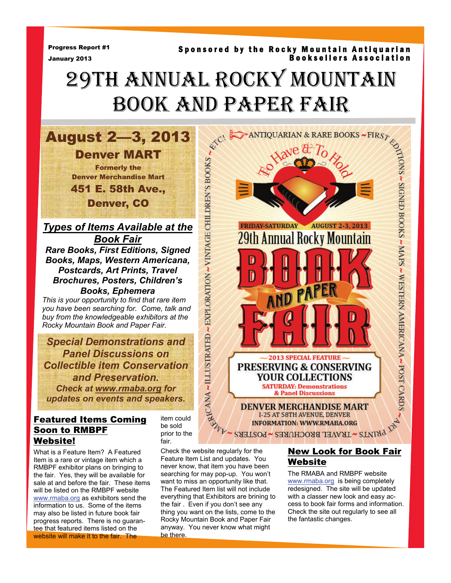Progress Report #1 January 2013

#### Sponsored by the Rocky Mountain Antiquarian Booksellers Association

# 29TH ANNUAL ROCKY MOUNTAIN BOOK AND PAPER FAIR

**August 2—3, 2013**<br> **Denver MART**<br> **Example 19 ART**<br> **Example 19 ART**<br> **Example 19 ART**<br> **Example 19 ART**<br> **Denver, CO**<br> **Example 25 ART Ave.,**<br> **Denver, CO**<br> **Example 26 ART**<br> **Example 26 ART**<br> **Rare Books, First Editions** Denver MART Formerly the Denver Merchandise Mart 451 E. 58th Ave., Denver, CO

*Types of Items Available at the Book Fair*

*Rare Books, First Editions, Signed Books, Maps, Western Americana, Postcards, Art Prints, Travel Brochures, Posters, Children's Books, Ephemera* 

*This is your opportunity to find that rare item you have been searching for. Come, talk and buy from the knowledgeable exhibitors at the Rocky Mountain Book and Paper Fair.* 

*Special Demonstrations and Panel Discussions on Collectible item Conservation and Preservation. Check at www.rmaba.org for updates on events and speakers.* 

## Featured Items Coming Soon to RMBPF Website!

What is a Feature Item? A Featured Item is a rare or vintage item which a RMBPF exhibitor plans on bringing to the fair. Yes, they will be available for sale at and before the fair. These items will be listed on the RMBPF website www.rmaba.org as exhibitors send the information to us. Some of the items may also be listed in future book fair progress reports. There is no guarantee that featured items listed on the website will make it to the fair. The

item could be sold prior to the fair.

Check the website regularly for the Feature Item List and updates. You never know, that item you have been searching for may pop-up. You won't want to miss an opportunity like that. The Featured Item list will not include everything that Exhibitors are brining to the fair . Even if you don't see any thing you want on the lists, come to the Rocky Mountain Book and Paper Fair anyway. You never know what might be there.



## New Look for Book Fair Website

The RMABA and RMBPF website www.rmaba.org is being completely redesigned. The site will be updated with a classer new look and easy access to book fair forms and information. Check the site out regularly to see all the fantastic changes.